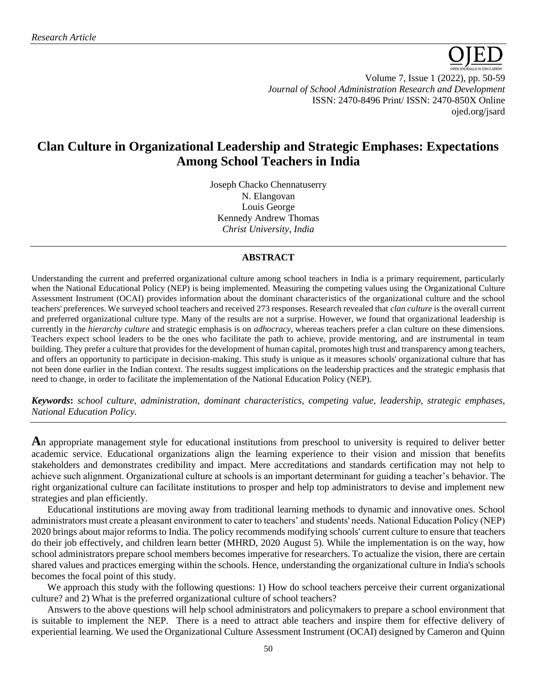

Volume 7, Issue 1 (2022), pp. 50-59 *Journal of School Administration Research and Development* ISSN: 2470-8496 Print/ ISSN: 2470-850X Online [ojed.org/jsard](https://www.ojed.org/index.php/JSARD)

# **Clan Culture in Organizational Leadership and Strategic Emphases: Expectations Among School Teachers in India**

Joseph Chacko Chennatuserry N. Elangovan Louis George Kennedy Andrew Thomas *Christ University, India*

## **ABSTRACT**

Understanding the current and preferred organizational culture among school teachers in India is a primary requirement, particularly when the National Educational Policy (NEP) is being implemented. Measuring the competing values using the Organizational Culture Assessment Instrument (OCAI) provides information about the dominant characteristics of the organizational culture and the school teachers' preferences. We surveyed school teachers and received 273 responses. Research revealed that *clan culture* is the overall current and preferred organizational culture type. Many of the results are not a surprise. However, we found that organizational leadership is currently in the *hierarchy culture* and strategic emphasis is on *adhocracy*, whereas teachers prefer a clan culture on these dimensions. Teachers expect school leaders to be the ones who facilitate the path to achieve, provide mentoring, and are instrumental in team building. They prefer a culture that provides for the development of human capital, promotes high trust and transparency among teachers, and offers an opportunity to participate in decision-making. This study is unique as it measures schools' organizational culture that has not been done earlier in the Indian context. The results suggest implications on the leadership practices and the strategic emphasis that need to change, in order to facilitate the implementation of the National Education Policy (NEP).

*Keywords***:** *school culture, administration, dominant characteristics, competing value, leadership, strategic emphases, National Education Policy.* 

**A**n appropriate management style for educational institutions from preschool to university is required to deliver better academic service. Educational organizations align the learning experience to their vision and mission that benefits stakeholders and demonstrates credibility and impact. Mere accreditations and standards certification may not help to achieve such alignment. Organizational culture at schools is an important determinant for guiding a teacher's behavior. The right organizational culture can facilitate institutions to prosper and help top administrators to devise and implement new strategies and plan efficiently.

Educational institutions are moving away from traditional learning methods to dynamic and innovative ones. School administrators must create a pleasant environment to cater to teachers' and students' needs. National Education Policy (NEP) 2020 brings about major reforms to India. The policy recommends modifying schools' current culture to ensure that teachers do their job effectively, and children learn better (MHRD, 2020 August 5). While the implementation is on the way, how school administrators prepare school members becomes imperative for researchers. To actualize the vision, there are certain shared values and practices emerging within the schools. Hence, understanding the organizational culture in India's schools becomes the focal point of this study.

We approach this study with the following questions: 1) How do school teachers perceive their current organizational culture? and 2) What is the preferred organizational culture of school teachers?

Answers to the above questions will help school administrators and policymakers to prepare a school environment that is suitable to implement the NEP. There is a need to attract able teachers and inspire them for effective delivery of experiential learning. We used the Organizational Culture Assessment Instrument (OCAI) designed by Cameron and Quinn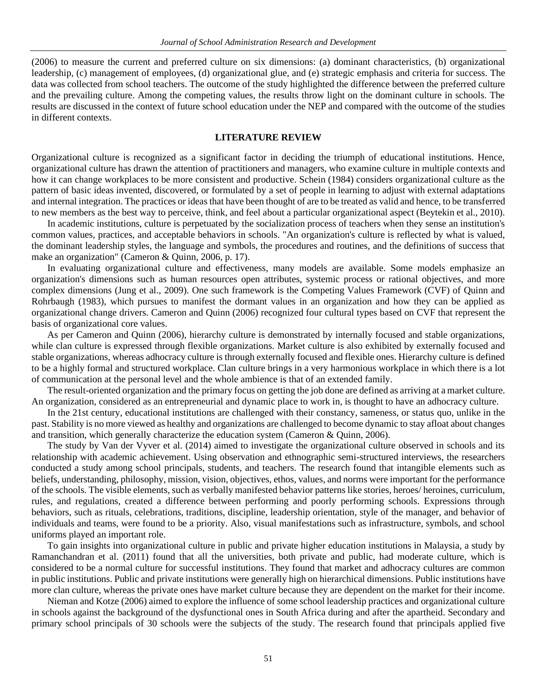(2006) to measure the current and preferred culture on six dimensions: (a) dominant characteristics, (b) organizational leadership, (c) management of employees, (d) organizational glue, and (e) strategic emphasis and criteria for success. The data was collected from school teachers. The outcome of the study highlighted the difference between the preferred culture and the prevailing culture. Among the competing values, the results throw light on the dominant culture in schools. The results are discussed in the context of future school education under the NEP and compared with the outcome of the studies in different contexts.

## **LITERATURE REVIEW**

Organizational culture is recognized as a significant factor in deciding the triumph of educational institutions. Hence, organizational culture has drawn the attention of practitioners and managers, who examine culture in multiple contexts and how it can change workplaces to be more consistent and productive. Schein (1984) considers organizational culture as the pattern of basic ideas invented, discovered, or formulated by a set of people in learning to adjust with external adaptations and internal integration. The practices or ideas that have been thought of are to be treated as valid and hence, to be transferred to new members as the best way to perceive, think, and feel about a particular organizational aspect (Beytekin et al., 2010).

In academic institutions, culture is perpetuated by the socialization process of teachers when they sense an institution's common values, practices, and acceptable behaviors in schools. "An organization's culture is reflected by what is valued, the dominant leadership styles, the language and symbols, the procedures and routines, and the definitions of success that make an organization" (Cameron & Quinn, 2006, p. 17).

In evaluating organizational culture and effectiveness, many models are available. Some models emphasize an organization's dimensions such as human resources open attributes, systemic process or rational objectives, and more complex dimensions (Jung et al., 2009). One such framework is the Competing Values Framework (CVF) of Quinn and Rohrbaugh (1983), which pursues to manifest the dormant values in an organization and how they can be applied as organizational change drivers. Cameron and Quinn (2006) recognized four cultural types based on CVF that represent the basis of organizational core values.

As per Cameron and Quinn (2006), hierarchy culture is demonstrated by internally focused and stable organizations, while clan culture is expressed through flexible organizations. Market culture is also exhibited by externally focused and stable organizations, whereas adhocracy culture is through externally focused and flexible ones. Hierarchy culture is defined to be a highly formal and structured workplace. Clan culture brings in a very harmonious workplace in which there is a lot of communication at the personal level and the whole ambience is that of an extended family.

The result-oriented organization and the primary focus on getting the job done are defined as arriving at a market culture. An organization, considered as an entrepreneurial and dynamic place to work in, is thought to have an adhocracy culture.

In the 21st century, educational institutions are challenged with their constancy, sameness, or status quo, unlike in the past. Stability is no more viewed as healthy and organizations are challenged to become dynamic to stay afloat about changes and transition, which generally characterize the education system (Cameron & Quinn, 2006).

The study by Van der Vyver et al. (2014) aimed to investigate the organizational culture observed in schools and its relationship with academic achievement. Using observation and ethnographic semi-structured interviews, the researchers conducted a study among school principals, students, and teachers. The research found that intangible elements such as beliefs, understanding, philosophy, mission, vision, objectives, ethos, values, and norms were important for the performance of the schools. The visible elements, such as verbally manifested behavior patterns like stories, heroes/ heroines, curriculum, rules, and regulations, created a difference between performing and poorly performing schools. Expressions through behaviors, such as rituals, celebrations, traditions, discipline, leadership orientation, style of the manager, and behavior of individuals and teams, were found to be a priority. Also, visual manifestations such as infrastructure, symbols, and school uniforms played an important role.

To gain insights into organizational culture in public and private higher education institutions in Malaysia, a study by Ramanchandran et al. (2011) found that all the universities, both private and public, had moderate culture, which is considered to be a normal culture for successful institutions. They found that market and adhocracy cultures are common in public institutions. Public and private institutions were generally high on hierarchical dimensions. Public institutions have more clan culture, whereas the private ones have market culture because they are dependent on the market for their income.

Nieman and Kotze (2006) aimed to explore the influence of some school leadership practices and organizational culture in schools against the background of the dysfunctional ones in South Africa during and after the apartheid. Secondary and primary school principals of 30 schools were the subjects of the study. The research found that principals applied five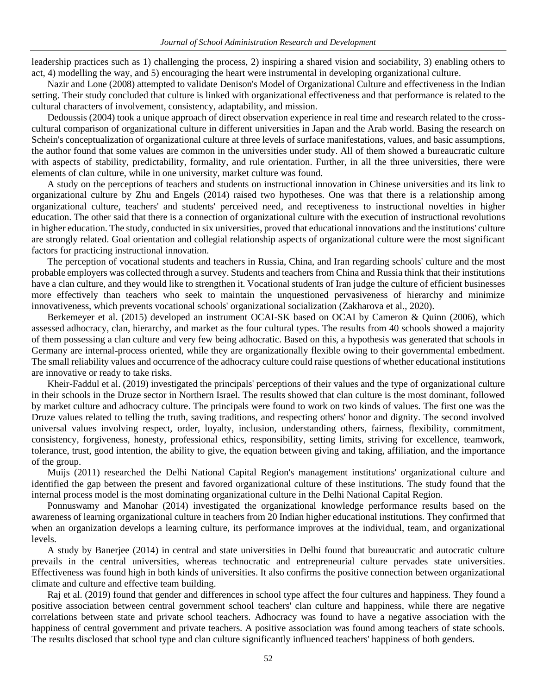leadership practices such as 1) challenging the process, 2) inspiring a shared vision and sociability, 3) enabling others to act, 4) modelling the way, and 5) encouraging the heart were instrumental in developing organizational culture.

Nazir and Lone (2008) attempted to validate Denison's Model of Organizational Culture and effectiveness in the Indian setting. Their study concluded that culture is linked with organizational effectiveness and that performance is related to the cultural characters of involvement, consistency, adaptability, and mission.

Dedoussis (2004) took a unique approach of direct observation experience in real time and research related to the crosscultural comparison of organizational culture in different universities in Japan and the Arab world. Basing the research on Schein's conceptualization of organizational culture at three levels of surface manifestations, values, and basic assumptions, the author found that some values are common in the universities under study. All of them showed a bureaucratic culture with aspects of stability, predictability, formality, and rule orientation. Further, in all the three universities, there were elements of clan culture, while in one university, market culture was found.

A study on the perceptions of teachers and students on instructional innovation in Chinese universities and its link to organizational culture by Zhu and Engels (2014) raised two hypotheses. One was that there is a relationship among organizational culture, teachers' and students' perceived need, and receptiveness to instructional novelties in higher education. The other said that there is a connection of organizational culture with the execution of instructional revolutions in higher education. The study, conducted in six universities, proved that educational innovations and the institutions' culture are strongly related. Goal orientation and collegial relationship aspects of organizational culture were the most significant factors for practicing instructional innovation.

The perception of vocational students and teachers in Russia, China, and Iran regarding schools' culture and the most probable employers was collected through a survey. Students and teachers from China and Russia think that their institutions have a clan culture, and they would like to strengthen it. Vocational students of Iran judge the culture of efficient businesses more effectively than teachers who seek to maintain the unquestioned pervasiveness of hierarchy and minimize innovativeness, which prevents vocational schools' organizational socialization (Zakharova et al., 2020).

[Berkemeyer](https://www.researchgate.net/scientific-contributions/Nils-Berkemeyer-56282628) et al. (2015) developed an instrument OCAI-SK based on OCAI by Cameron & Quinn (2006), which assessed adhocracy, clan, hierarchy, and market as the four cultural types. The results from 40 schools showed a majority of them possessing a clan culture and very few being adhocratic. Based on this, a hypothesis was generated that schools in Germany are internal-process oriented, while they are organizationally flexible owing to their governmental embedment. The small reliability values and occurrence of the adhocracy culture could raise questions of whether educational institutions are innovative or ready to take risks.

Kheir-Faddul et al. (2019) investigated the principals' perceptions of their values and the type of organizational culture in their schools in the Druze sector in Northern Israel. The results showed that clan culture is the most dominant, followed by market culture and adhocracy culture. The principals were found to work on two kinds of values. The first one was the Druze values related to telling the truth, saving traditions, and respecting others' honor and dignity. The second involved universal values involving respect, order, loyalty, inclusion, understanding others, fairness, flexibility, commitment, consistency, forgiveness, honesty, professional ethics, responsibility, setting limits, striving for excellence, teamwork, tolerance, trust, good intention, the ability to give, the equation between giving and taking, affiliation, and the importance of the group.

Muijs (2011) researched the Delhi National Capital Region's management institutions' organizational culture and identified the gap between the present and favored organizational culture of these institutions. The study found that the internal process model is the most dominating organizational culture in the Delhi National Capital Region.

Ponnuswamy and Manohar (2014) investigated the organizational knowledge performance results based on the awareness of learning organizational culture in teachers from 20 Indian higher educational institutions. They confirmed that when an organization develops a learning culture, its performance improves at the individual, team, and organizational levels.

A study by Banerjee (2014) in central and state universities in Delhi found that bureaucratic and autocratic culture prevails in the central universities, whereas technocratic and entrepreneurial culture pervades state universities. Effectiveness was found high in both kinds of universities. It also confirms the positive connection between organizational climate and culture and effective team building.

Raj et al. (2019) found that gender and differences in school type affect the four cultures and happiness. They found a positive association between central government school teachers' clan culture and happiness, while there are negative correlations between state and private school teachers. Adhocracy was found to have a negative association with the happiness of central government and private teachers. A positive association was found among teachers of state schools. The results disclosed that school type and clan culture significantly influenced teachers' happiness of both genders.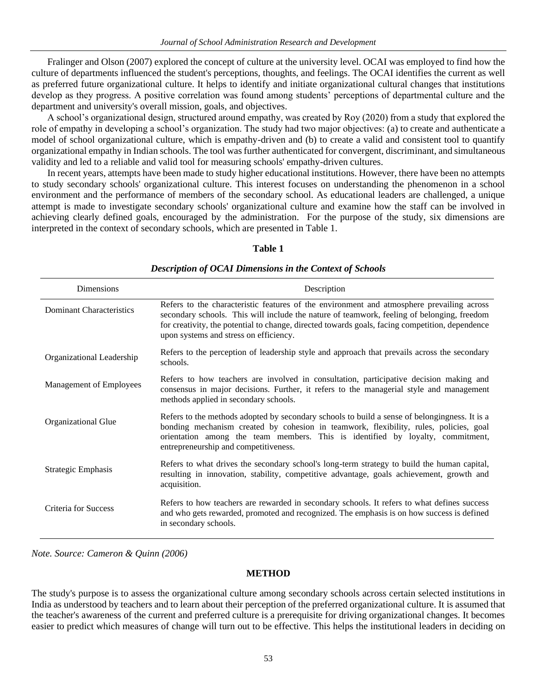Fralinger and Olson (2007) explored the concept of culture at the university level. OCAI was employed to find how the culture of departments influenced the student's perceptions, thoughts, and feelings. The OCAI identifies the current as well as preferred future organizational culture. It helps to identify and initiate organizational cultural changes that institutions develop as they progress. A positive correlation was found among students' perceptions of departmental culture and the department and university's overall mission, goals, and objectives.

A school's organizational design, structured around empathy, was created by Roy (2020) from a study that explored the role of empathy in developing a school's organization. The study had two major objectives: (a) to create and authenticate a model of school organizational culture, which is empathy-driven and (b) to create a valid and consistent tool to quantify organizational empathy in Indian schools. The tool was further authenticated for convergent, discriminant, and simultaneous validity and led to a reliable and valid tool for measuring schools' empathy-driven cultures.

In recent years, attempts have been made to study higher educational institutions. However, there have been no attempts to study secondary schools' organizational culture. This interest focuses on understanding the phenomenon in a school environment and the performance of members of the secondary school. As educational leaders are challenged, a unique attempt is made to investigate secondary schools' organizational culture and examine how the staff can be involved in achieving clearly defined goals, encouraged by the administration. For the purpose of the study, six dimensions are interpreted in the context of secondary schools, which are presented in Table 1.

## **Table 1**

| Dimensions                      | Description                                                                                                                                                                                                                                                                                                                          |
|---------------------------------|--------------------------------------------------------------------------------------------------------------------------------------------------------------------------------------------------------------------------------------------------------------------------------------------------------------------------------------|
| <b>Dominant Characteristics</b> | Refers to the characteristic features of the environment and atmosphere prevailing across<br>secondary schools. This will include the nature of teamwork, feeling of belonging, freedom<br>for creativity, the potential to change, directed towards goals, facing competition, dependence<br>upon systems and stress on efficiency. |
| Organizational Leadership       | Refers to the perception of leadership style and approach that prevails across the secondary<br>schools.                                                                                                                                                                                                                             |
| Management of Employees         | Refers to how teachers are involved in consultation, participative decision making and<br>consensus in major decisions. Further, it refers to the managerial style and management<br>methods applied in secondary schools.                                                                                                           |
| Organizational Glue             | Refers to the methods adopted by secondary schools to build a sense of belongingness. It is a<br>bonding mechanism created by cohesion in teamwork, flexibility, rules, policies, goal<br>orientation among the team members. This is identified by loyalty, commitment,<br>entrepreneurship and competitiveness.                    |
| Strategic Emphasis              | Refers to what drives the secondary school's long-term strategy to build the human capital,<br>resulting in innovation, stability, competitive advantage, goals achievement, growth and<br>acquisition.                                                                                                                              |
| Criteria for Success            | Refers to how teachers are rewarded in secondary schools. It refers to what defines success<br>and who gets rewarded, promoted and recognized. The emphasis is on how success is defined<br>in secondary schools.                                                                                                                    |

*Description of OCAI Dimensions in the Context of Schools*

*Note. Source: Cameron & Quinn (2006)*

## **METHOD**

The study's purpose is to assess the organizational culture among secondary schools across certain selected institutions in India as understood by teachers and to learn about their perception of the preferred organizational culture. It is assumed that the teacher's awareness of the current and preferred culture is a prerequisite for driving organizational changes. It becomes easier to predict which measures of change will turn out to be effective. This helps the institutional leaders in deciding on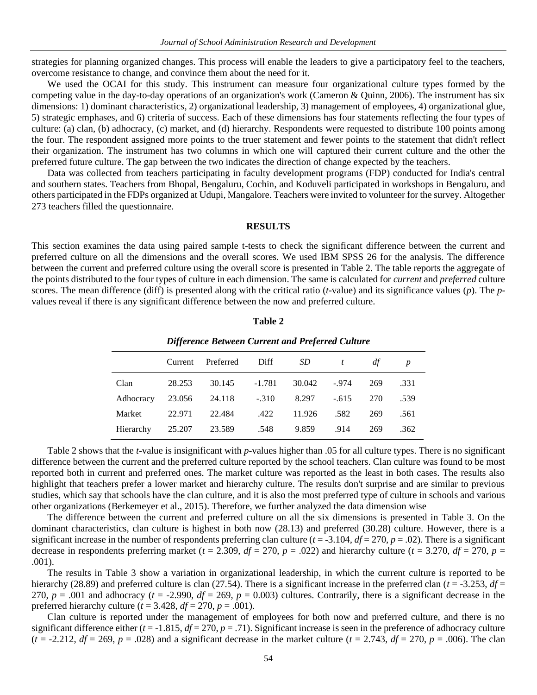strategies for planning organized changes. This process will enable the leaders to give a participatory feel to the teachers, overcome resistance to change, and convince them about the need for it.

We used the OCAI for this study. This instrument can measure four organizational culture types formed by the competing value in the day-to-day operations of an organization's work (Cameron & Quinn, 2006). The instrument has six dimensions: 1) dominant characteristics, 2) organizational leadership, 3) management of employees, 4) organizational glue, 5) strategic emphases, and 6) criteria of success. Each of these dimensions has four statements reflecting the four types of culture: (a) clan, (b) adhocracy, (c) market, and (d) hierarchy. Respondents were requested to distribute 100 points among the four. The respondent assigned more points to the truer statement and fewer points to the statement that didn't reflect their organization. The instrument has two columns in which one will captured their current culture and the other the preferred future culture. The gap between the two indicates the direction of change expected by the teachers.

Data was collected from teachers participating in faculty development programs (FDP) conducted for India's central and southern states. Teachers from Bhopal, Bengaluru, Cochin, and Koduveli participated in workshops in Bengaluru, and others participated in the FDPs organized at Udupi, Mangalore. Teachers were invited to volunteer for the survey. Altogether 273 teachers filled the questionnaire.

## **RESULTS**

This section examines the data using paired sample t-tests to check the significant difference between the current and preferred culture on all the dimensions and the overall scores. We used IBM SPSS 26 for the analysis. The difference between the current and preferred culture using the overall score is presented in Table 2. The table reports the aggregate of the points distributed to the four types of culture in each dimension. The same is calculated for *current* and *preferred* culture scores. The mean difference (diff) is presented along with the critical ratio (*t*-value) and its significance values (*p*). The *p*values reveal if there is any significant difference between the now and preferred culture.

#### **Table 2**

|        |        | Current Preferred Diff                    |  |                            | $SD$ t df |     |      |  |  |
|--------|--------|-------------------------------------------|--|----------------------------|-----------|-----|------|--|--|
| Clan   | 28.253 |                                           |  | 30.145 -1.781 30.042 -.974 |           | 269 | .331 |  |  |
|        |        | Adhocracy 23.056 24.118 -.310 8.297 -.615 |  |                            |           | 270 | .539 |  |  |
| Market |        | 22.971 22.484 .422 11.926 .582            |  |                            |           | 269 | .561 |  |  |
|        |        | Hierarchy 25.207 23.589 .548 9.859        |  |                            | .914      | 269 | .362 |  |  |

#### *Difference Between Current and Preferred Culture*

Table 2 shows that the *t*-value is insignificant with *p*-values higher than .05 for all culture types. There is no significant difference between the current and the preferred culture reported by the school teachers. Clan culture was found to be most reported both in current and preferred ones. The market culture was reported as the least in both cases. The results also highlight that teachers prefer a lower market and hierarchy culture. The results don't surprise and are similar to previous studies, which say that schools have the clan culture, and it is also the most preferred type of culture in schools and various other organizations (Berkemeyer et al., 2015). Therefore, we further analyzed the data dimension wise

The difference between the current and preferred culture on all the six dimensions is presented in Table 3. On the dominant characteristics, clan culture is highest in both now (28.13) and preferred (30.28) culture. However, there is a significant increase in the number of respondents preferring clan culture  $(t = -3.104, df = 270, p = .02)$ . There is a significant decrease in respondents preferring market ( $t = 2.309$ ,  $df = 270$ ,  $p = .022$ ) and hierarchy culture ( $t = 3.270$ ,  $df = 270$ ,  $p =$ .001).

The results in Table 3 show a variation in organizational leadership, in which the current culture is reported to be hierarchy (28.89) and preferred culture is clan (27.54). There is a significant increase in the preferred clan (*t* = -3.253, *df* = 270,  $p = .001$  and adhocracy ( $t = -2.990$ ,  $df = 269$ ,  $p = 0.003$ ) cultures. Contrarily, there is a significant decrease in the preferred hierarchy culture  $(t = 3.428, df = 270, p = .001)$ .

Clan culture is reported under the management of employees for both now and preferred culture, and there is no significant difference either  $(t = -1.815, df = 270, p = .71)$ . Significant increase is seen in the preference of adhocracy culture  $(t = -2.212, df = 269, p = .028)$  and a significant decrease in the market culture  $(t = 2.743, df = 270, p = .006)$ . The clan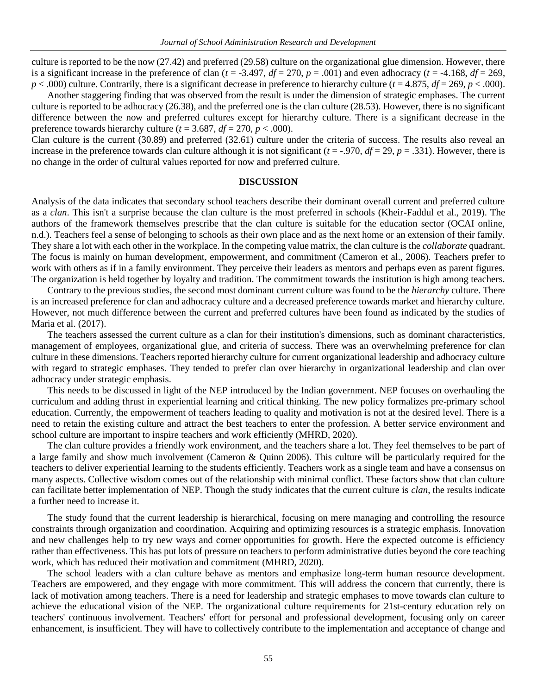culture is reported to be the now (27.42) and preferred (29.58) culture on the organizational glue dimension. However, there is a significant increase in the preference of clan  $(t = -3.497, df = 270, p = .001)$  and even adhocracy  $(t = -4.168, df = 269,$  $p < .000$ ) culture. Contrarily, there is a significant decrease in preference to hierarchy culture ( $t = 4.875$ ,  $df = 269$ ,  $p < .000$ ).

Another staggering finding that was observed from the result is under the dimension of strategic emphases. The current culture is reported to be adhocracy (26.38), and the preferred one is the clan culture (28.53). However, there is no significant difference between the now and preferred cultures except for hierarchy culture. There is a significant decrease in the preference towards hierarchy culture ( $t = 3.687$ ,  $df = 270$ ,  $p < .000$ ).

Clan culture is the current (30.89) and preferred (32.61) culture under the criteria of success. The results also reveal an increase in the preference towards clan culture although it is not significant  $(t = -0.970, df = 29, p = 0.331)$ . However, there is no change in the order of cultural values reported for now and preferred culture.

### **DISCUSSION**

Analysis of the data indicates that secondary school teachers describe their dominant overall current and preferred culture as a *clan*. This isn't a surprise because the clan culture is the most preferred in schools (Kheir-Faddul et al., 2019). The authors of the framework themselves prescribe that the clan culture is suitable for the education sector (OCAI online, n.d.). Teachers feel a sense of belonging to schools as their own place and as the next home or an extension of their family. They share a lot with each other in the workplace. In the competing value matrix, the clan culture is the *collaborate* quadrant. The focus is mainly on human development, empowerment, and commitment (Cameron et al., 2006). Teachers prefer to work with others as if in a family environment. They perceive their leaders as mentors and perhaps even as parent figures. The organization is held together by loyalty and tradition. The commitment towards the institution is high among teachers.

Contrary to the previous studies, the second most dominant current culture was found to be the *hierarchy* culture. There is an increased preference for clan and adhocracy culture and a decreased preference towards market and hierarchy culture. However, not much difference between the current and preferred cultures have been found as indicated by the studies of Maria et al. (2017).

The teachers assessed the current culture as a clan for their institution's dimensions, such as dominant characteristics, management of employees, organizational glue, and criteria of success. There was an overwhelming preference for clan culture in these dimensions. Teachers reported hierarchy culture for current organizational leadership and adhocracy culture with regard to strategic emphases. They tended to prefer clan over hierarchy in organizational leadership and clan over adhocracy under strategic emphasis.

This needs to be discussed in light of the NEP introduced by the Indian government. NEP focuses on overhauling the curriculum and adding thrust in experiential learning and critical thinking. The new policy formalizes pre-primary school education. Currently, the empowerment of teachers leading to quality and motivation is not at the desired level. There is a need to retain the existing culture and attract the best teachers to enter the profession. A better service environment and school culture are important to inspire teachers and work efficiently (MHRD, 2020).

The clan culture provides a friendly work environment, and the teachers share a lot. They feel themselves to be part of a large family and show much involvement (Cameron & Quinn 2006). This culture will be particularly required for the teachers to deliver experiential learning to the students efficiently. Teachers work as a single team and have a consensus on many aspects. Collective wisdom comes out of the relationship with minimal conflict. These factors show that clan culture can facilitate better implementation of NEP. Though the study indicates that the current culture is *clan*, the results indicate a further need to increase it.

The study found that the current leadership is hierarchical, focusing on mere managing and controlling the resource constraints through organization and coordination. Acquiring and optimizing resources is a strategic emphasis. Innovation and new challenges help to try new ways and corner opportunities for growth. Here the expected outcome is efficiency rather than effectiveness. This has put lots of pressure on teachers to perform administrative duties beyond the core teaching work, which has reduced their motivation and commitment (MHRD, 2020).

The school leaders with a clan culture behave as mentors and emphasize long-term human resource development. Teachers are empowered, and they engage with more commitment. This will address the concern that currently, there is lack of motivation among teachers. There is a need for leadership and strategic emphases to move towards clan culture to achieve the educational vision of the NEP. The organizational culture requirements for 21st-century education rely on teachers' continuous involvement. Teachers' effort for personal and professional development, focusing only on career enhancement, is insufficient. They will have to collectively contribute to the implementation and acceptance of change and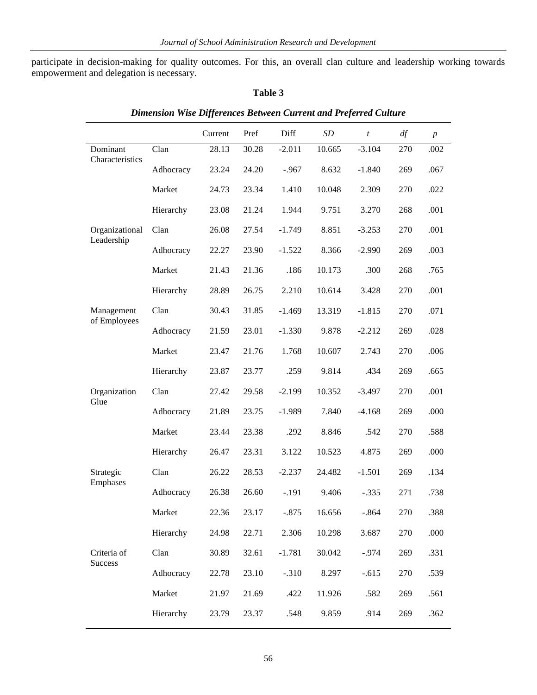participate in decision-making for quality outcomes. For this, an overall clan culture and leadership working towards empowerment and delegation is necessary.

## **Table 3**

|                               |           | Current | Pref  | Diff     | SD     | $\boldsymbol{t}$ | df  | $\boldsymbol{p}$ |
|-------------------------------|-----------|---------|-------|----------|--------|------------------|-----|------------------|
| Dominant<br>Characteristics   | Clan      | 28.13   | 30.28 | $-2.011$ | 10.665 | $-3.104$         | 270 | .002             |
|                               | Adhocracy | 23.24   | 24.20 | $-.967$  | 8.632  | $-1.840$         | 269 | .067             |
|                               | Market    | 24.73   | 23.34 | 1.410    | 10.048 | 2.309            | 270 | .022             |
|                               | Hierarchy | 23.08   | 21.24 | 1.944    | 9.751  | 3.270            | 268 | .001             |
| Organizational                | Clan      | 26.08   | 27.54 | $-1.749$ | 8.851  | $-3.253$         | 270 | .001             |
| Leadership                    | Adhocracy | 22.27   | 23.90 | $-1.522$ | 8.366  | $-2.990$         | 269 | .003             |
|                               | Market    | 21.43   | 21.36 | .186     | 10.173 | .300             | 268 | .765             |
|                               | Hierarchy | 28.89   | 26.75 | 2.210    | 10.614 | 3.428            | 270 | .001             |
| Management<br>of Employees    | Clan      | 30.43   | 31.85 | $-1.469$ | 13.319 | $-1.815$         | 270 | .071             |
|                               | Adhocracy | 21.59   | 23.01 | $-1.330$ | 9.878  | $-2.212$         | 269 | .028             |
|                               | Market    | 23.47   | 21.76 | 1.768    | 10.607 | 2.743            | 270 | .006             |
|                               | Hierarchy | 23.87   | 23.77 | .259     | 9.814  | .434             | 269 | .665             |
| Organization<br>Glue          | Clan      | 27.42   | 29.58 | $-2.199$ | 10.352 | $-3.497$         | 270 | .001             |
|                               | Adhocracy | 21.89   | 23.75 | $-1.989$ | 7.840  | $-4.168$         | 269 | .000             |
|                               | Market    | 23.44   | 23.38 | .292     | 8.846  | .542             | 270 | .588             |
|                               | Hierarchy | 26.47   | 23.31 | 3.122    | 10.523 | 4.875            | 269 | .000             |
| Strategic<br>Emphases         | Clan      | 26.22   | 28.53 | $-2.237$ | 24.482 | $-1.501$         | 269 | .134             |
|                               | Adhocracy | 26.38   | 26.60 | $-.191$  | 9.406  | $-.335$          | 271 | .738             |
|                               | Market    | 22.36   | 23.17 | $-.875$  | 16.656 | $-.864$          | 270 | .388             |
|                               | Hierarchy | 24.98   | 22.71 | 2.306    | 10.298 | 3.687            | 270 | .000             |
| Criteria of<br><b>Success</b> | Clan      | 30.89   | 32.61 | $-1.781$ | 30.042 | $-0.974$         | 269 | .331             |
|                               | Adhocracy | 22.78   | 23.10 | $-.310$  | 8.297  | $-.615$          | 270 | .539             |
|                               | Market    | 21.97   | 21.69 | .422     | 11.926 | .582             | 269 | .561             |
|                               | Hierarchy | 23.79   | 23.37 | .548     | 9.859  | .914             | 269 | .362             |

## *Dimension Wise Differences Between Current and Preferred Culture*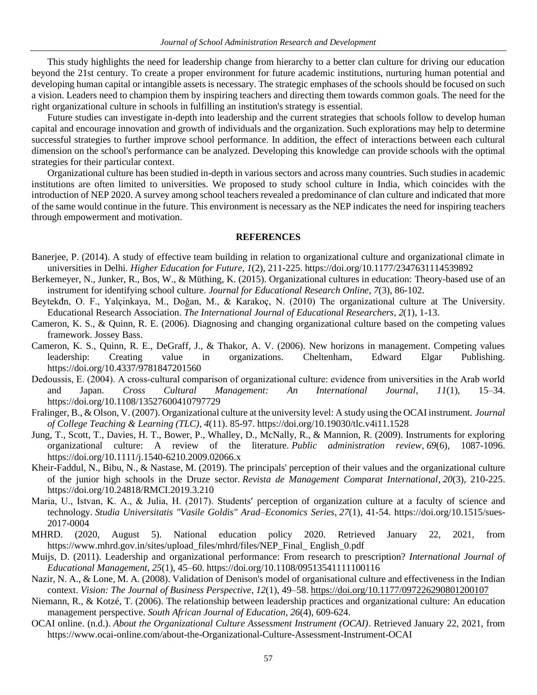This study highlights the need for leadership change from hierarchy to a better clan culture for driving our education beyond the 21st century. To create a proper environment for future academic institutions, nurturing human potential and developing human capital or intangible assets is necessary. The strategic emphases of the schools should be focused on such a vision. Leaders need to champion them by inspiring teachers and directing them towards common goals. The need for the right organizational culture in schools in fulfilling an institution's strategy is essential.

Future studies can investigate in-depth into leadership and the current strategies that schools follow to develop human capital and encourage innovation and growth of individuals and the organization. Such explorations may help to determine successful strategies to further improve school performance. In addition, the effect of interactions between each cultural dimension on the school's performance can be analyzed. Developing this knowledge can provide schools with the optimal strategies for their particular context.

Organizational culture has been studied in-depth in various sectors and across many countries. Such studies in academic institutions are often limited to universities. We proposed to study school culture in India, which coincides with the introduction of NEP 2020. A survey among school teachers revealed a predominance of clan culture and indicated that more of the same would continue in the future. This environment is necessary as the NEP indicates the need for inspiring teachers through empowerment and motivation.

## **REFERENCES**

- Banerjee, P. (2014). A study of effective team building in relation to organizational culture and organizational climate in universities in Delhi. *Higher Education for Future*, *1*(2), 211-225[. https://doi.org/10.1177/2347631114539892](https://doi.org/10.1177%2F2347631114539892)
- Berkemeyer, N., Junker, R., Bos, W., & Müthing, K. (2015). Organizational cultures in education: Theory-based use of an instrument for identifying school culture. *Journal for Educational Research Online*, *7*(3), 86-102.
- Beytekđn, O. F., Yalçinkaya, M., Doğan, M., & Karakoç, N. (2010) The organizational culture at The University. Educational Research Association. *The International Journal of Educational Researchers*, *2*(1), 1-13.
- Cameron, K. S., & Quinn, R. E. (2006). Diagnosing and changing organizational culture based on the competing values framework. Jossey Bass.
- Cameron, K. S., Quinn, R. E., DeGraff, J., & Thakor, A. V. (2006). New horizons in management. Competing values leadership: Creating value in organizations. Cheltenham, Edward Elgar Publishing. <https://doi.org/10.4337/9781847201560>
- Dedoussis, E. (2004). A cross-cultural comparison of organizational culture: evidence from universities in the Arab world and Japan. *Cross Cultural Management: An International Journal*, *11*(1), 15–34. https://doi.org/10.1108/13527600410797729
- Fralinger, B., & Olson, V. (2007). Organizational culture at the university level: A study using the OCAI instrument. *Journal of College Teaching & Learning (TLC)*, *4*(11). 85-97.<https://doi.org/10.19030/tlc.v4i11.1528>
- Jung, T., Scott, T., Davies, H. T., Bower, P., Whalley, D., McNally, R., & Mannion, R. (2009). Instruments for exploring organizational culture: A review of the literature. *Public administration review*, *69*(6), 1087-1096. https://doi.org/10.1111/j.1540-6210.2009.02066.x
- Kheir-Faddul, N., Bibu, N., & Nastase, M. (2019). The principals' perception of their values and the organizational culture of the junior high schools in the Druze sector. *Revista de Management Comparat International*, *20*(3), 210-225. [https://doi.org/1](https://doi.org/10.1111/j.1540-6210.2009.02066.x)0.24818/RMCI.2019.3.210
- Maria, U., Istvan, K. A., & Julia, H. (2017). Students′ perception of organization culture at a faculty of science and technology. *Studia Universitatis "Vasile Goldis" Arad–Economics Series*, *27*(1), 41-54. https://doi.org/10.1515/sues-2017-0004
- MHRD. (2020, August 5). National education policy 2020. Retrieved January 22, 2021, from https://www.mhrd.gov.in/sites/upload\_files/mhrd/files/NEP\_Final\_ English\_0.pdf
- Muijs, D. (2011). Leadership and organizational performance: From research to prescription? *International Journal of Educational Management*, *25*(1), 45–60. https://doi.org/10.1108/09513541111100116
- Nazir, N. A., & Lone, M. A. (2008). Validation of Denison's model of organisational culture and effectiveness in the Indian context. *Vision: The Journal of Business Perspective*, *12*(1), 49–58.<https://doi.org/10.1177/097226290801200107>
- Niemann, R., & Kotzé, T. (2006). The relationship between leadership practices and organizational culture: An education management perspective. *South African Journal of Education*, *26*(4), 609-624.
- OCAI online. (n.d.). *About the Organizational Culture Assessment Instrument (OCAI)*. Retrieved January 22, 2021, from https://www.ocai-online.com/about-the-Organizational-Culture-Assessment-Instrument-OCAI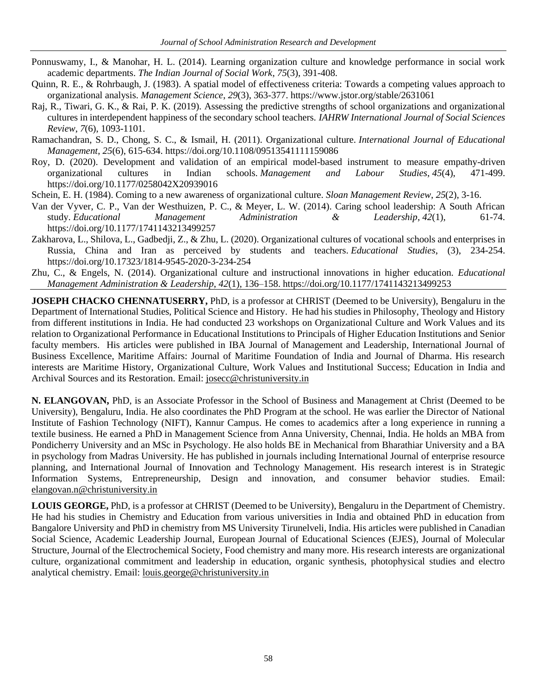- Ponnuswamy, I., & Manohar, H. L. (2014). Learning organization culture and knowledge performance in social work academic departments. *The Indian Journal of Social Work*, *75*(3), 391-408.
- Quinn, R. E., & Rohrbaugh, J. (1983). A spatial model of effectiveness criteria: Towards a competing values approach to organizational analysis. *Management Science*, *29*(3), 363-377. https://www.jstor.org/stable/2631061
- Raj, R., Tiwari, G. K., & Rai, P. K. (2019). Assessing the predictive strengths of school organizations and organizational cultures in interdependent happiness of the secondary school teachers. *IAHRW International Journal of Social Sciences Review*, *7*(6), 1093-1101.
- Ramachandran, S. D., Chong, S. C., & Ismail, H. (2011). Organizational culture. *International Journal of Educational Management*, *25*(6), 615-634.<https://doi.org/10.1108/09513541111159086>
- Roy, D. (2020). Development and validation of an empirical model-based instrument to measure empathy-driven organizational cultures in Indian schools. *Management and Labour Studies*, *45*(4), 471-499. https://doi.org/10.1177/0258042X20939016
- Schein, E. H. (1984). Coming to a new awareness of organizational culture. *Sloan Management Review*, *25*(2), 3-16.
- Van der Vyver, C. P., Van der Westhuizen, P. C., & Meyer, L. W. (2014). Caring school leadership: A South African study. *Educational Management Administration & Leadership*, *42*(1), 61-74. [https://doi.org/10.1177/1741143213499257](https://doi.org/10.1177%2F1741143213499257)
- Zakharova, L., Shilova, L., Gadbedji, Z., & Zhu, L. (2020). Organizational cultures of vocational schools and enterprises in Russia, China and Iran as perceived by students and teachers. *Educational Studies*, (3), 234-254. https://doi.org/10.17323/1814-9545-2020-3-234-254
- Zhu, C., & Engels, N. (2014). Organizational culture and instructional innovations in higher education. *Educational Management Administration & Leadership*, *42*(1), 136–158. https://doi.org/10.1177/1741143213499253

**JOSEPH CHACKO CHENNATUSERRY,** PhD, is a professor at CHRIST (Deemed to be University), Bengaluru in the Department of International Studies, Political Science and History. He had his studies in Philosophy, Theology and History from different institutions in India. He had conducted 23 workshops on Organizational Culture and Work Values and its relation to Organizational Performance in Educational Institutions to Principals of Higher Education Institutions and Senior faculty members. His articles were published in IBA Journal of Management and Leadership, International Journal of Business Excellence, Maritime Affairs: Journal of Maritime Foundation of India and Journal of Dharma. His research interests are Maritime History, Organizational Culture, Work Values and Institutional Success; Education in India and Archival Sources and its Restoration. Email: [josecc@christuniversity.in](mailto:josecc@christuniversity.in)

**N. ELANGOVAN,** PhD, is an Associate Professor in the School of Business and Management at Christ (Deemed to be University), Bengaluru, India. He also coordinates the PhD Program at the school. He was earlier the Director of National Institute of Fashion Technology (NIFT), Kannur Campus. He comes to academics after a long experience in running a textile business. He earned a PhD in Management Science from Anna University, Chennai, India. He holds an MBA from Pondicherry University and an MSc in Psychology. He also holds BE in Mechanical from Bharathiar University and a BA in psychology from Madras University. He has published in journals including International Journal of enterprise resource planning, and International Journal of Innovation and Technology Management. His research interest is in Strategic Information Systems, Entrepreneurship, Design and innovation, and consumer behavior studies. Email: [elangovan.n@christuniversity.in](mailto:elangovan.n@christuniversity.in)

**LOUIS GEORGE,** PhD, is a professor at CHRIST (Deemed to be University), Bengaluru in the Department of Chemistry. He had his studies in Chemistry and Education from various universities in India and obtained PhD in education from Bangalore University and PhD in chemistry from MS University Tirunelveli, India. His articles were published in Canadian Social Science, Academic Leadership Journal, European Journal of Educational Sciences (EJES), Journal of Molecular Structure, Journal of the Electrochemical Society, Food chemistry and many more. His research interests are organizational culture, organizational commitment and leadership in education, organic synthesis, photophysical studies and electro analytical chemistry. Email: [louis.george@christuniversity.in](mailto:louis.george@christuniversity.in)